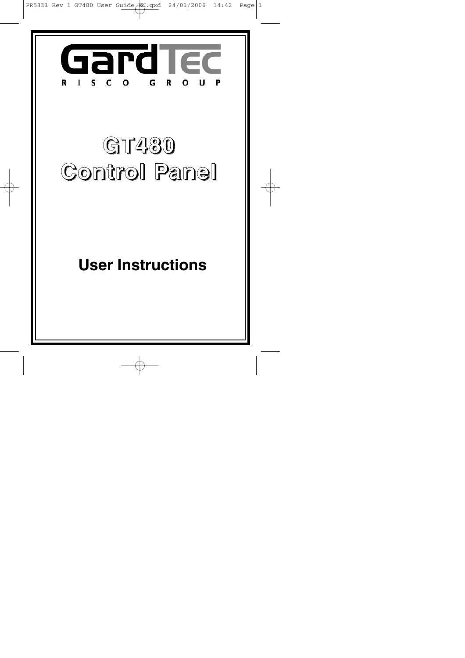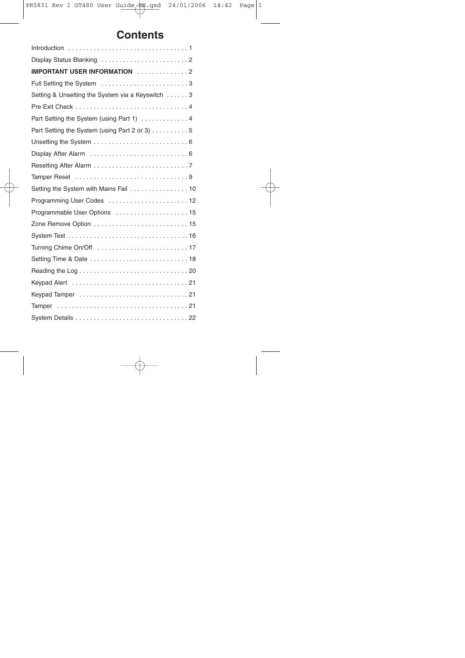# **Contents**

| IMPORTANT USER INFORMATION 2                     |  |
|--------------------------------------------------|--|
| Full Setting the System 3                        |  |
| Setting & Unsetting the System via a Keyswitch 3 |  |
|                                                  |  |
| Part Setting the System (using Part 1)  4        |  |
| Part Setting the System (using Part 2 or 3) 5    |  |
|                                                  |  |
|                                                  |  |
|                                                  |  |
|                                                  |  |
|                                                  |  |
|                                                  |  |
| Programmable User Options  15                    |  |
|                                                  |  |
|                                                  |  |
|                                                  |  |
|                                                  |  |
|                                                  |  |
|                                                  |  |
|                                                  |  |
|                                                  |  |
|                                                  |  |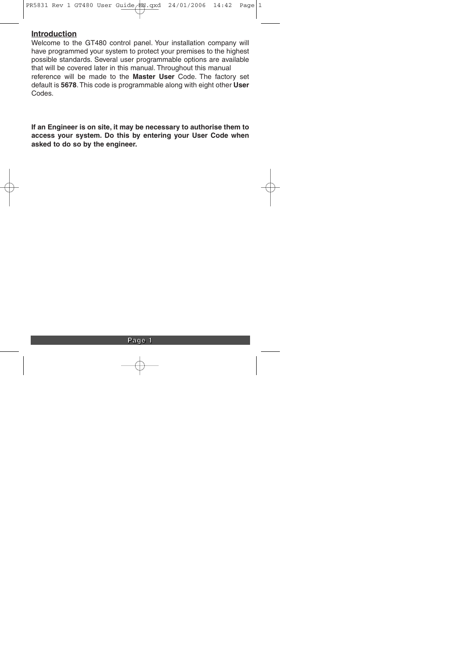#### **Introduction**

Welcome to the GT480 control panel. Your installation company will have programmed your system to protect your premises to the highest possible standards. Several user programmable options are available that will be covered later in this manual. Throughout this manual reference will be made to the **Master User** Code. The factory set default is **5678**. This code is programmable along with eight other **User** Codes.

**If an Engineer is on site, it may be necessary to authorise them to access your system. Do this by entering your User Code when asked to do so by the engineer.**

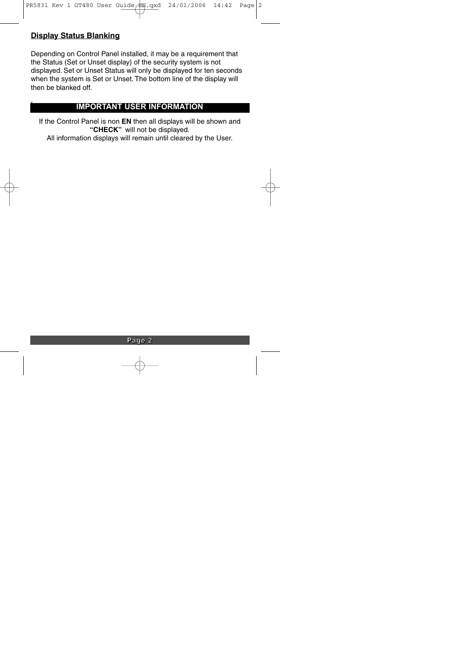# **Display Status Blanking**

I

Depending on Control Panel installed, it may be a requirement that the Status (Set or Unset display) of the security system is not displayed. Set or Unset Status will only be displayed for ten seconds when the system is Set or Unset. The bottom line of the display will then be blanked off.

# **IMPORTANT USER INFORMATION**

If the Control Panel is non **EN** then all displays will be shown and **"CHECK"** will not be displayed.

All information displays will remain until cleared by the User.

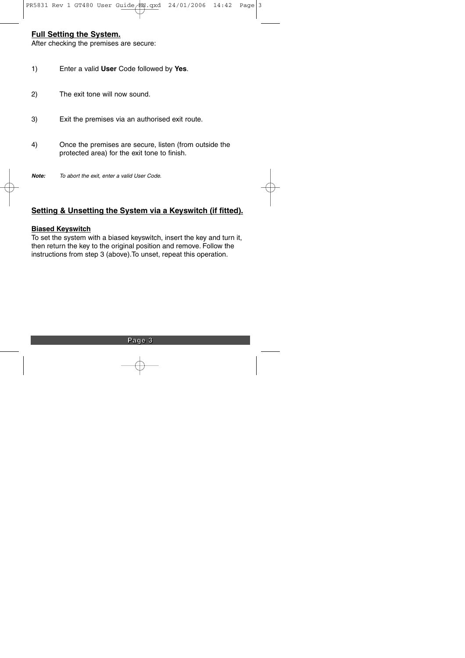# **Full Setting the System.**

After checking the premises are secure:

- 1) Enter a valid **User** Code followed by **Yes**.
- 2) The exit tone will now sound.
- 3) Exit the premises via an authorised exit route.
- 4) Once the premises are secure, listen (from outside the protected area) for the exit tone to finish.
- **Note:** To abort the exit, enter a valid User Code.

# **Setting & Unsetting the System via a Keyswitch (if fitted).**

#### **Biased Keyswitch**

To set the system with a biased keyswitch, insert the key and turn it, then return the key to the original position and remove. Follow the instructions from step 3 (above).To unset, repeat this operation.

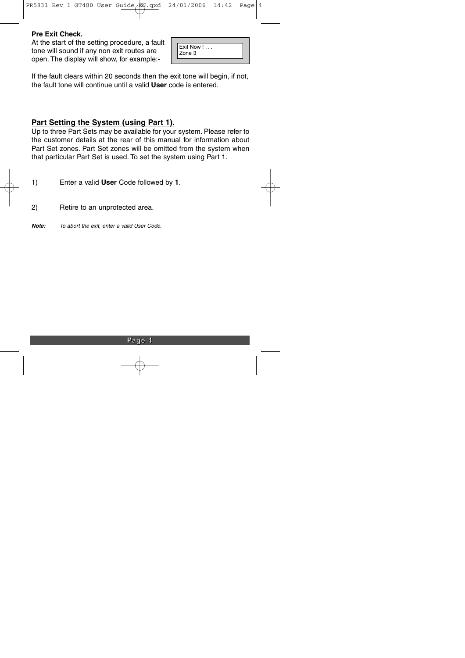#### **Pre Exit Check.**

At the start of the setting procedure, a fault tone will sound if any non exit routes are open. The display will show, for example:-

| Exit Now $! \ldots$ |
|---------------------|
| Zone 3              |
|                     |

If the fault clears within 20 seconds then the exit tone will begin, if not, the fault tone will continue until a valid **User** code is entered.

# **Part Setting the System (using Part 1).**

Up to three Part Sets may be available for your system. Please refer to the customer details at the rear of this manual for information about Part Set zones. Part Set zones will be omitted from the system when that particular Part Set is used. To set the system using Part 1.

1) Enter a valid **User** Code followed by **1**.

2) Retire to an unprotected area.

**Note:** To abort the exit, enter a valid User Code.

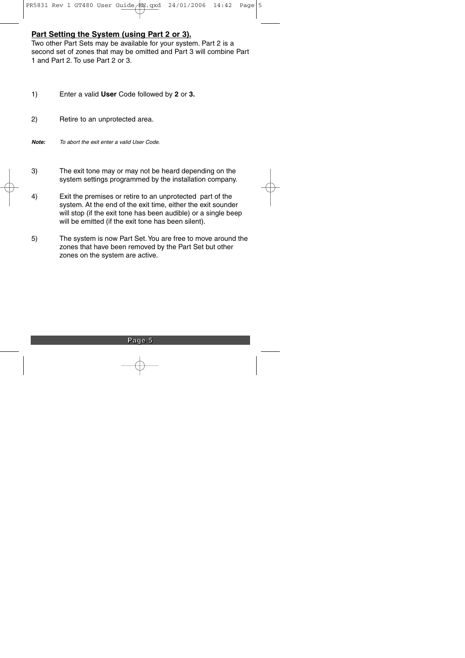# **Part Setting the System (using Part 2 or 3).**

Two other Part Sets may be available for your system. Part 2 is a second set of zones that may be omitted and Part 3 will combine Part 1 and Part 2. To use Part 2 or 3.

- 1) Enter a valid **User** Code followed by **2** or **3.**
- 2) Retire to an unprotected area.
- **Note:** To abort the exit enter a valid User Code.
- 3) The exit tone may or may not be heard depending on the system settings programmed by the installation company.
- 4) Exit the premises or retire to an unprotected part of the system. At the end of the exit time, either the exit sounder will stop (if the exit tone has been audible) or a single beep will be emitted (if the exit tone has been silent).
- 5) The system is now Part Set.You are free to move around the zones that have been removed by the Part Set but other zones on the system are active.

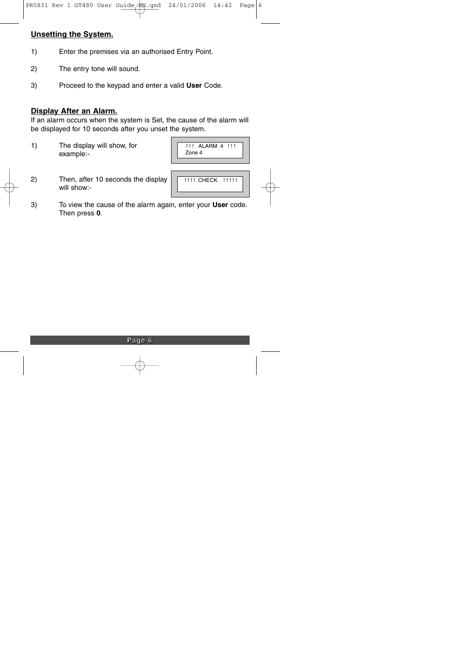# **Unsetting the System.**

- 1) Enter the premises via an authorised Entry Point.
- 2) The entry tone will sound.
- 3) Proceed to the keypad and enter a valid **User** Code.

#### **Display After an Alarm.**

If an alarm occurs when the system is Set, the cause of the alarm will be displayed for 10 seconds after you unset the system.

1) The display will show, for example:-

|        | -11 |
|--------|-----|
| Zone 4 |     |

2) Then, after 10 seconds the display will show:-

| <b>!!!! CHECK !!!!!!</b> |  |
|--------------------------|--|
|                          |  |

3) To view the cause of the alarm again, enter your **User** code. Then press **0**.

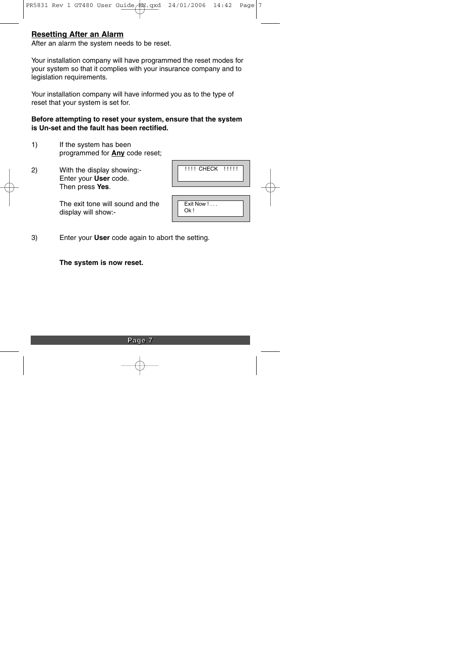### **Resetting After an Alarm**

After an alarm the system needs to be reset.

Your installation company will have programmed the reset modes for your system so that it complies with your insurance company and to legislation requirements.

Your installation company will have informed you as to the type of reset that your system is set for.

#### **Before attempting to reset your system, ensure that the system is Un-set and the fault has been rectified.**

- 1) If the system has been programmed for **Any** code reset;
- 2) With the display showing:- Enter your **User** code. Then press **Yes**.

| <b>!!!! CHECK !!!!!</b> |  |
|-------------------------|--|
|                         |  |
| Exit Now !              |  |

Ok !

The exit tone will sound and the display will show:-

3) Enter your **User** code again to abort the setting.

**The system is now reset.**

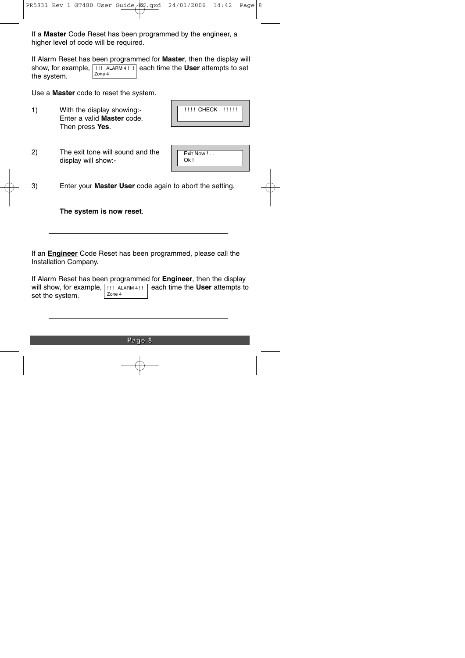If a **Master** Code Reset has been programmed by the engineer, a higher level of code will be required.

If Alarm Reset has been programmed for **Master**, then the display will show, for example,  $|$  !!! ALARM 4 !!!  $|$  each time the **User** attempts to set the system. Zone 4

Use a **Master** code to reset the system.

1) With the display showing:- Enter a valid **Master** code. Then press **Yes**.

|  |  | !!!! CHECK !!!!! |  |
|--|--|------------------|--|
|--|--|------------------|--|

2) The exit tone will sound and the display will show:-

| Exit Now ! |  |
|------------|--|
| Qk!        |  |
|            |  |

3) Enter your **Master User** code again to abort the setting.

**The system is now reset**.

If an **Engineer** Code Reset has been programmed, please call the Installation Company.

If Alarm Reset has been programmed for **Engineer**, then the display will show, for example, **[!!! ALARM 4!!!]** each time the User attempts to set the system. Zone 4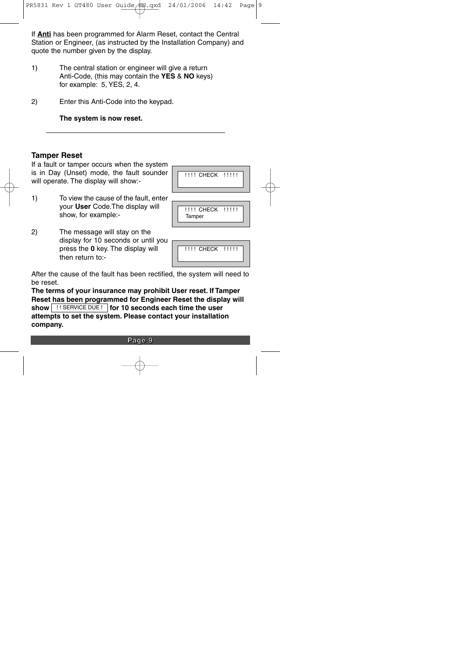If **Anti** has been programmed for Alarm Reset, contact the Central Station or Engineer, (as instructed by the Installation Company) and quote the number given by the display.

- 1) The central station or engineer will give a return Anti-Code, (this may contain the **YES** & **NO** keys) for example: 5, YES, 2, 4.
- 2) Enter this Anti-Code into the keypad.

**The system is now reset.**

### **Tamper Reset**

If a fault or tamper occurs when the system is in Day (Unset) mode, the fault sounder will operate. The display will show:-

- 1) To view the cause of the fault, enter your **User** Code.The display will show, for example:-
- 2) The message will stay on the display for 10 seconds or until you press the **0** key. The display will then return to:-

| !!!! CHECK !!!!! |  |
|------------------|--|
|                  |  |

| ,,,,,, |  |
|--------|--|
|        |  |
|        |  |



After the cause of the fault has been rectified, the system will need to be reset.

**The terms of your insurance may prohibit User reset. If Tamper Reset has been programmed for Engineer Reset the display will show** | !! SERVICE DUE ! | **for 10 seconds each time the user attempts to set the system. Please contact your installation company.**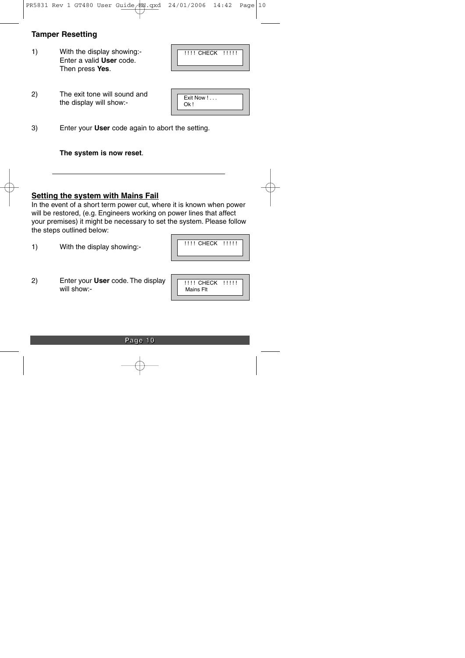# **Tamper Resetting**

1) With the display showing:- Enter a valid **User** code. Then press **Yes**.

| !!!! CHECK !!!!! |  |
|------------------|--|
|------------------|--|

2) The exit tone will sound and the display will show:-

| Exit Now ! |  |
|------------|--|
| Ok!        |  |
|            |  |

3) Enter your **User** code again to abort the setting.

**The system is now reset**.

#### **Setting the system with Mains Fail**

In the event of a short term power cut, where it is known when power will be restored, (e.g. Engineers working on power lines that affect your premises) it might be necessary to set the system. Please follow the steps outlined below:

1) With the display showing:-

2) Enter your **User** code. The display will show:-

| !!!! CHECK !!!!! |  |
|------------------|--|
| Mains Flt        |  |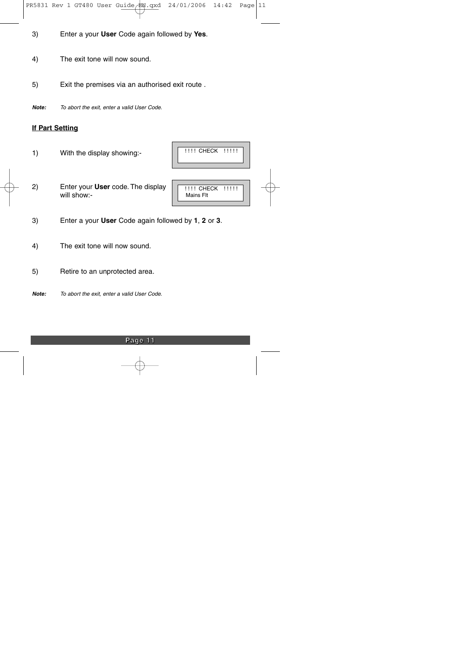- 3) Enter a your **User** Code again followed by **Yes**.
- 4) The exit tone will now sound.
- 5) Exit the premises via an authorised exit route .
- **Note:** To abort the exit, enter a valid User Code.

### **If Part Setting**

1) With the display showing:-

| !!!! CHECK !!!!! |  |
|------------------|--|
|                  |  |

2) Enter your **User** code. The display will show:-

|  |  | !!!! CHECK !!!! |
|--|--|-----------------|

- 3) Enter a your **User** Code again followed by **1**, **2** or **3**.
- 4) The exit tone will now sound.
- 5) Retire to an unprotected area.
- **Note:** To abort the exit, enter a valid User Code.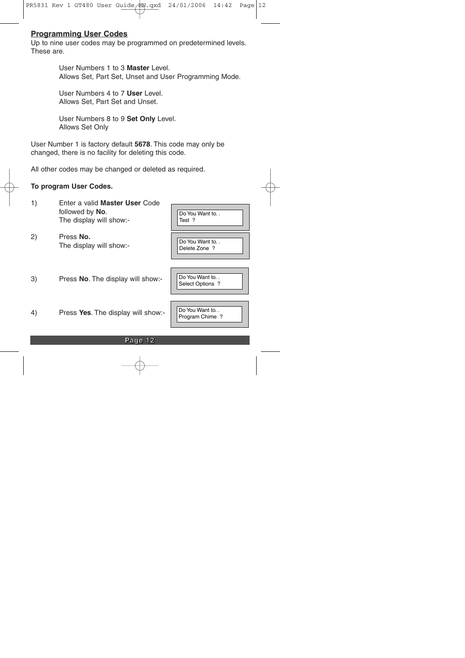### **Programming User Codes**

Up to nine user codes may be programmed on predetermined levels. These are.

> User Numbers 1 to 3 **Master** Level. Allows Set, Part Set, Unset and User Programming Mode.

User Numbers 4 to 7 **User** Level. Allows Set, Part Set and Unset.

User Numbers 8 to 9 **Set Only** Level. Allows Set Only

User Number 1 is factory default **5678**. This code may only be changed, there is no facility for deleting this code.

All other codes may be changed or deleted as required.

#### **To program User Codes.**

| 2)<br>Press No.<br>Do You Want to<br>The display will show:-<br>Delete Zone ?<br>Do You Want to<br>Press No. The display will show:-<br>3)<br>Select Options ?<br>Do You Want to<br>4)<br>Press Yes. The display will show:-<br>Program Chime? | 1) | Enter a valid Master User Code<br>followed by No.<br>The display will show:- | Do You Want to<br>Test? |
|------------------------------------------------------------------------------------------------------------------------------------------------------------------------------------------------------------------------------------------------|----|------------------------------------------------------------------------------|-------------------------|
|                                                                                                                                                                                                                                                |    |                                                                              |                         |
|                                                                                                                                                                                                                                                |    |                                                                              |                         |
|                                                                                                                                                                                                                                                |    |                                                                              |                         |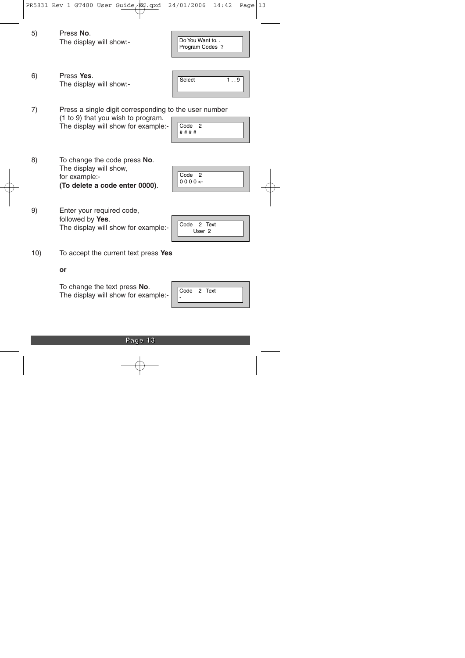**Page 13**

The display will show for example:

To change the text press **No**.

10) To accept the current text press **Yes**

The display will show for example:-

9) Enter your required code, followed by **Yes**.

8) To change the code press **No**. The display will show, for example:- **(To delete a code enter 0000)**.

- The display will show for example:-
- 7) Press a single digit corresponding to the user number (1 to 9) that you wish to program. Code<sub>2</sub>

The display will show:-

5) Press **No**. The display will show:-

6) Press **Yes**.

Program Codes ?

Do You Want to. .

# # # #

| Select | 9 |
|--------|---|
|        |   |

| Code 2    |  |
|-----------|--|
| $00000 -$ |  |
|           |  |

| Code 2 Text       |  |
|-------------------|--|
| User <sub>2</sub> |  |

| Code 2 Text |  |  |
|-------------|--|--|
|             |  |  |

**or**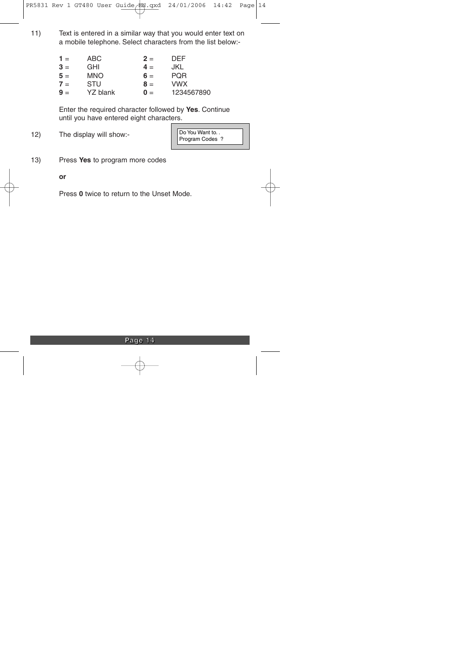11) Text is entered in a similar way that you would enter text on a mobile telephone. Select characters from the list below:-

| $1 =$ | ABC        | $2 =$          | <b>DEF</b> |
|-------|------------|----------------|------------|
| $3 =$ | <b>GHI</b> | $4 =$          | JKL        |
| $5 =$ | <b>MNO</b> | $6 =$          | <b>PQR</b> |
| $7 =$ | STU        | $8 =$          | <b>VWX</b> |
| $9 =$ | YZ blank   | $\mathbf{0} =$ | 1234567890 |

Enter the required character followed by **Yes**. Continue until you have entered eight characters.

12) The display will show:-

Do You Want to. . Program Codes ?

13) Press **Yes** to program more codes

**or**

Press **0** twice to return to the Unset Mode.

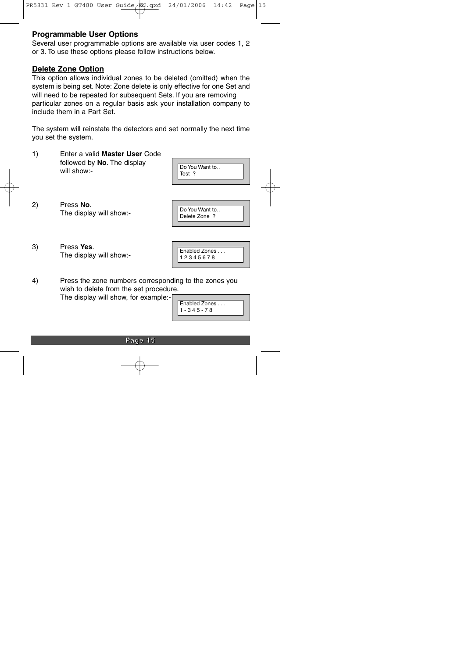# **Programmable User Options**

Several user programmable options are available via user codes 1, 2 or 3. To use these options please follow instructions below.

#### **Delete Zone Option**

This option allows individual zones to be deleted (omitted) when the system is being set. Note: Zone delete is only effective for one Set and will need to be repeated for subsequent Sets. If you are removing particular zones on a regular basis ask your installation company to include them in a Part Set.

The system will reinstate the detectors and set normally the next time you set the system.

1) Enter a valid **Master User** Code followed by **No**. The display will show:-

| Do You Want to |  |
|----------------|--|
| Test ?         |  |
|                |  |

2) Press **No**. The display will show:-

| Do You Want to |
|----------------|
| Delete Zone ?  |
|                |

3) Press **Yes**. The display will show:-

Enabled Zones . . . 1 2 3 4 5 6 7 8

4) Press the zone numbers corresponding to the zones you wish to delete from the set procedure. The display will show, for example:-

| Enabled Zones |  |
|---------------|--|
| 1 - 345 - 78  |  |
|               |  |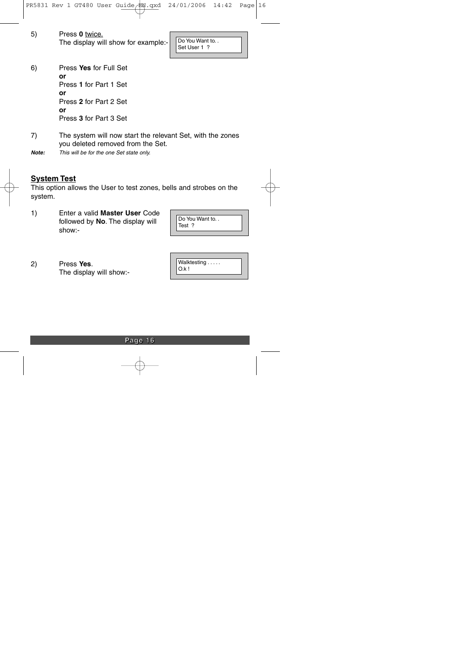| 5) | Press 0 twice.                      |  |
|----|-------------------------------------|--|
|    | The display will show for example:- |  |

Do You Want to. . Set User 1 ?

6) Press **Yes** for Full Set **or** Press **1** for Part 1 Set **or** Press **2** for Part 2 Set **or** Press **3** for Part 3 Set

- 7) The system will now start the relevant Set, with the zones you deleted removed from the Set.
- **Note:** This will be for the one Set state only.

### **System Test**

This option allows the User to test zones, bells and strobes on the system.

1) Enter a valid **Master User** Code followed by **No**. The display will show:-

| Do You Want to |  |
|----------------|--|
| Test ?         |  |
|                |  |

2) Press **Yes**. The display will show:-

| Walktesting |
|-------------|
|             |
| Qk!         |
|             |

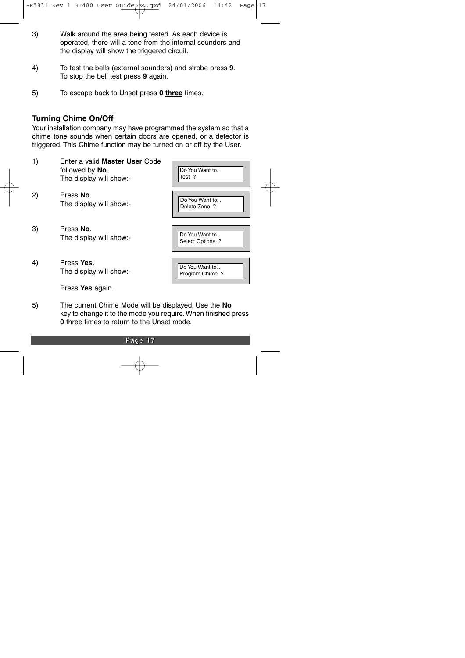- 3) Walk around the area being tested. As each device is operated, there will a tone from the internal sounders and the display will show the triggered circuit.
- 4) To test the bells (external sounders) and strobe press **9**. To stop the bell test press **9** again.
- 5) To escape back to Unset press **0 three** times.

# **Turning Chime On/Off**

Your installation company may have programmed the system so that a chime tone sounds when certain doors are opened, or a detector is triggered. This Chime function may be turned on or off by the User.

| 1) | Enter a valid Master User Code<br>followed by No.<br>The display will show:- | Do You Want to<br>Test?            |
|----|------------------------------------------------------------------------------|------------------------------------|
| 2) | Press No.<br>The display will show:-                                         | Do You Want to<br>Delete Zone ?    |
| 3) | Press No.<br>The display will show:-                                         | Do You Want to<br>Select Options ? |
| 4) | Press Yes.<br>The display will show:-                                        | Do You Want to<br>Program Chime ?  |
|    | Press Yes again.                                                             |                                    |

5) The current Chime Mode will be displayed. Use the **No** key to change it to the mode you require.When finished press **0** three times to return to the Unset mode.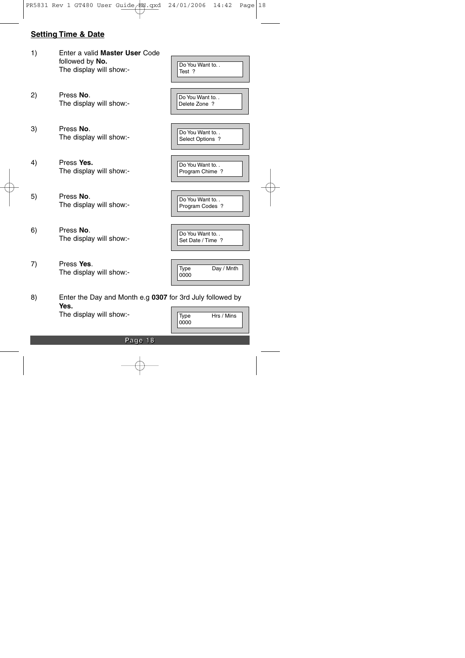# **Setting Time & Date**

- 1) Enter a valid **Master User** Code followed by **No.** The display will show:-
- 2) Press **No**. The display will show:-
- 3) Press **No**. The display will show:-
- 4) Press **Yes.** The display will show:-
- 5) Press **No**. The display will show:-
- 6) Press **No**. The display will show:-
- 7) Press **Yes**. The display will show:-

| Do You Want to<br>Test ?            |  |
|-------------------------------------|--|
| Do You Want to<br>Delete Zone ?     |  |
| Do You Want to<br>Select Options ?  |  |
| Do You Want to<br>Program Chime ?   |  |
| Do You Want to<br>Program Codes ?   |  |
| Do You Want to<br>Set Date / Time ? |  |

Type Day / Mnth 0000

8) Enter the Day and Month e.g **0307** for 3rd July followed by **Yes.**

The display will show:-

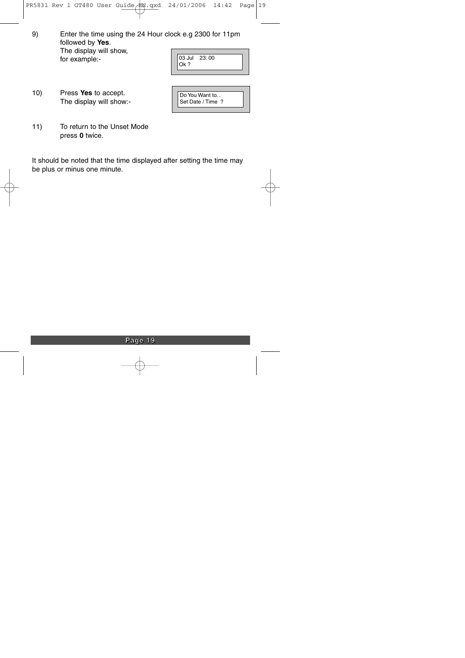9) Enter the time using the 24 Hour clock e.g 2300 for 11pm followed by **Yes**. The display will show, for example:- 03 Jul 23: 00

| Ok ?                                |  |
|-------------------------------------|--|
|                                     |  |
| Do You Want to<br>Set Date / Time ? |  |

- 10) Press **Yes** to accept. The display will show:-
- 11) To return to the Unset Mode press **0** twice.

It should be noted that the time displayed after setting the time may be plus or minus one minute.

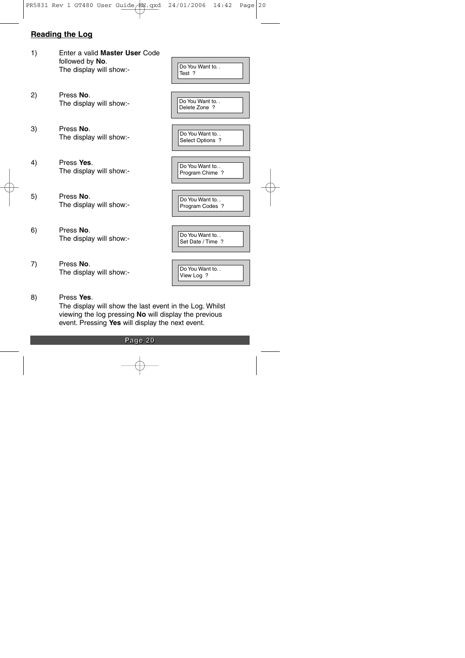### **Reading the Log**

- 1) Enter a valid **Master User** Code followed by **No**. The display will show:- 2) Press **No**. The display will show:- 3) Press **No**. The display will show:- 4) Press **Yes**. The display will show:- 5) Press **No**. The display will show:- 6) Press **No**. The display will show:- 7) Press **No**. The display will show:- Do You Want to Test ? Do You Want to. . Delete Zone ? Do You Want to. . Select Options ? Do You Want to... Program Chime ? Do You Want to. . Program Codes ? Do You Want to. Set Date / Time ? Do You Want to View Log ?
- 8) Press **Yes**.

The display will show the last event in the Log. Whilst viewing the log pressing **No** will display the previous event. Pressing **Yes** will display the next event.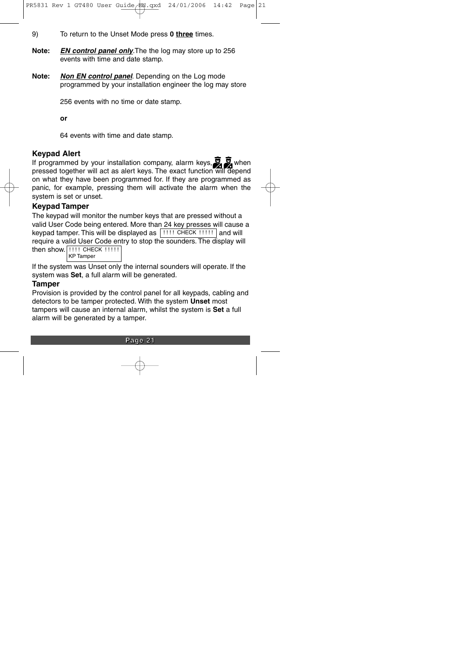- 9) To return to the Unset Mode press **0 three** times.
- **Note: EN control panel only**.The the log may store up to 256 events with time and date stamp.
- **Note: Non EN control panel**. Depending on the Log mode programmed by your installation engineer the log may store

256 events with no time or date stamp.

**or**

64 events with time and date stamp.

# **Keypad Alert**

If programmed by your installation company, alarm keys,  $\sum_{n=1}^{\infty}$  when pressed together will act as alert keys. The exact function will depend on what they have been programmed for. If they are programmed as panic, for example, pressing them will activate the alarm when the system is set or unset.

# **Keypad Tamper**

The keypad will monitor the number keys that are pressed without a valid User Code being entered. More than 24 key presses will cause a keypad tamper. This will be displayed as  $|$  !!!! CHECK !!!!!  $|$  and will require a valid User Code entry to stop the sounders. The display will then show. ! ! ! ! CHECK ! ! ! ! ! KP Tamper

If the system was Unset only the internal sounders will operate. If the system was **Set**, a full alarm will be generated.

# **Tamper**

Provision is provided by the control panel for all keypads, cabling and detectors to be tamper protected. With the system **Unset** most tampers will cause an internal alarm, whilst the system is **Set** a full alarm will be generated by a tamper.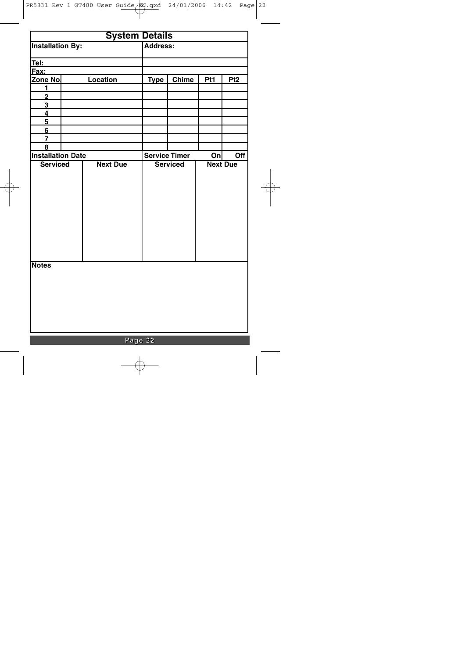| <b>System Details</b>    |  |                 |             |                      |     |                 |
|--------------------------|--|-----------------|-------------|----------------------|-----|-----------------|
| <b>Installation By:</b>  |  |                 | Address:    |                      |     |                 |
| Tel:                     |  |                 |             |                      |     |                 |
| Fax:                     |  |                 |             |                      |     |                 |
| <u>Zone No.</u>          |  | Location        | <b>Type</b> | <b>Chime</b>         | Pt1 | Pt <sub>2</sub> |
| 1                        |  |                 |             |                      |     |                 |
| $\overline{2}$           |  |                 |             |                      |     |                 |
| 3                        |  |                 |             |                      |     |                 |
| $\overline{\mathbf{4}}$  |  |                 |             |                      |     |                 |
| 5                        |  |                 |             |                      |     |                 |
| 6                        |  |                 |             |                      |     |                 |
| 7                        |  |                 |             |                      |     |                 |
| 8                        |  |                 |             |                      |     |                 |
| <b>Installation Date</b> |  |                 |             | <b>Service Timer</b> | Onl | Off             |
| <b>Serviced</b>          |  | <b>Next Due</b> |             | <b>Serviced</b>      |     | <b>Next Due</b> |
|                          |  |                 |             |                      |     |                 |
|                          |  |                 |             |                      |     |                 |
|                          |  |                 |             |                      |     |                 |
|                          |  |                 |             |                      |     |                 |
|                          |  |                 |             |                      |     |                 |
|                          |  |                 |             |                      |     |                 |
|                          |  |                 |             |                      |     |                 |
|                          |  |                 |             |                      |     |                 |
|                          |  |                 |             |                      |     |                 |
|                          |  |                 |             |                      |     |                 |
|                          |  |                 |             |                      |     |                 |
| <b>Notes</b>             |  |                 |             |                      |     |                 |
|                          |  |                 |             |                      |     |                 |
|                          |  |                 |             |                      |     |                 |
|                          |  |                 |             |                      |     |                 |
|                          |  |                 |             |                      |     |                 |
|                          |  |                 |             |                      |     |                 |
|                          |  |                 |             |                      |     |                 |
|                          |  |                 |             |                      |     |                 |
|                          |  |                 |             |                      |     |                 |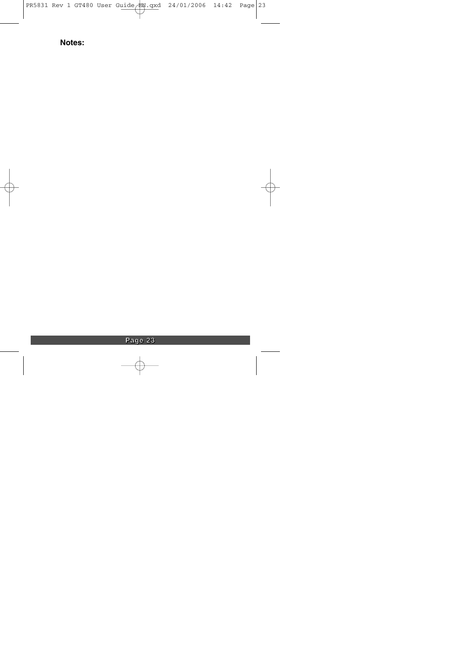# **Notes:**

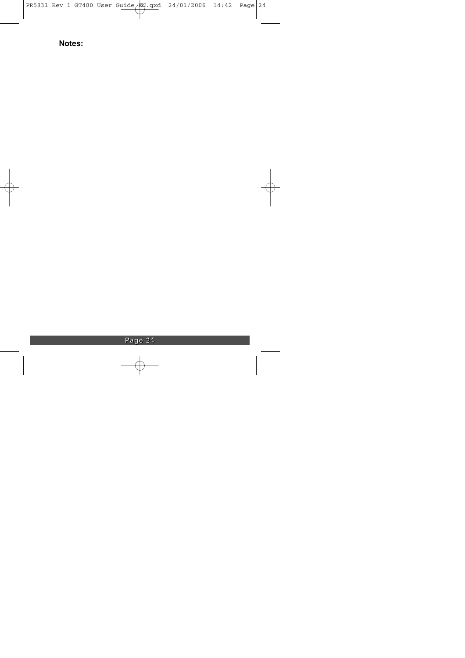# **Notes:**

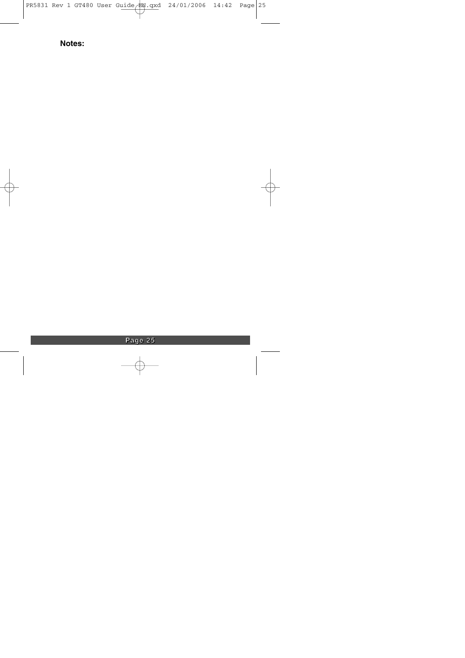# **Notes:**